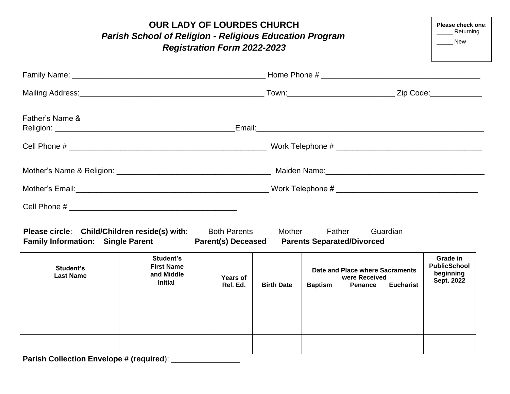| <b>OUR LADY OF LOURDES CHURCH</b><br><b>Parish School of Religion - Religious Education Program</b><br><b>Registration Form 2022-2023</b> |                                                                |                                                  |                   |                                                                                                          |                                                            |  |  |
|-------------------------------------------------------------------------------------------------------------------------------------------|----------------------------------------------------------------|--------------------------------------------------|-------------------|----------------------------------------------------------------------------------------------------------|------------------------------------------------------------|--|--|
|                                                                                                                                           |                                                                |                                                  |                   |                                                                                                          |                                                            |  |  |
|                                                                                                                                           |                                                                |                                                  |                   |                                                                                                          |                                                            |  |  |
| Father's Name &                                                                                                                           |                                                                |                                                  |                   |                                                                                                          |                                                            |  |  |
|                                                                                                                                           |                                                                |                                                  |                   |                                                                                                          |                                                            |  |  |
|                                                                                                                                           |                                                                |                                                  |                   |                                                                                                          |                                                            |  |  |
|                                                                                                                                           |                                                                |                                                  |                   |                                                                                                          |                                                            |  |  |
|                                                                                                                                           |                                                                |                                                  |                   |                                                                                                          |                                                            |  |  |
| Please circle: Child/Children reside(s) with:<br><b>Family Information: Single Parent</b>                                                 |                                                                | <b>Both Parents</b><br><b>Parent(s) Deceased</b> | <b>Mother</b>     | Father<br>Guardian<br><b>Parents Separated/Divorced</b>                                                  |                                                            |  |  |
| Student's<br><b>Last Name</b>                                                                                                             | Student's<br><b>First Name</b><br>and Middle<br><b>Initial</b> | <b>Years of</b><br>Rel. Ed.                      | <b>Birth Date</b> | Date and Place where Sacraments<br>were Received<br><b>Baptism</b><br><b>Penance</b><br><b>Eucharist</b> | Grade in<br><b>PublicSchool</b><br>beginning<br>Sept. 2022 |  |  |
| Parish Collection Envelope # (required): _                                                                                                |                                                                |                                                  |                   |                                                                                                          |                                                            |  |  |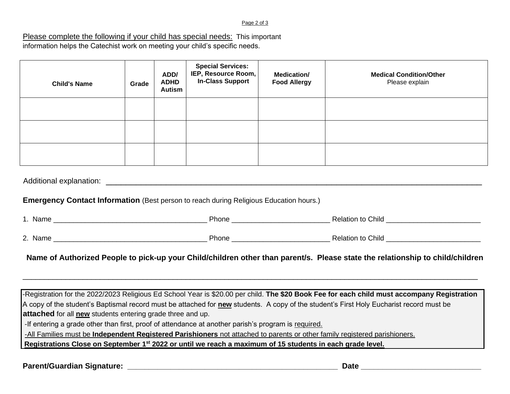#### Page 2 of 3

### Please complete the following if your child has special needs: This important information helps the Catechist work on meeting your child's specific needs.

| <b>Child's Name</b> | Grade | ADD/<br><b>ADHD</b><br><b>Autism</b> | <b>Special Services:</b><br>IEP, Resource Room,<br><b>In-Class Support</b> | <b>Medication/</b><br><b>Food Allergy</b> | <b>Medical Condition/Other</b><br>Please explain |
|---------------------|-------|--------------------------------------|----------------------------------------------------------------------------|-------------------------------------------|--------------------------------------------------|
|                     |       |                                      |                                                                            |                                           |                                                  |
|                     |       |                                      |                                                                            |                                           |                                                  |
|                     |       |                                      |                                                                            |                                           |                                                  |

Additional explanation: \_\_\_\_\_\_\_\_\_\_\_\_\_\_\_\_\_\_\_\_\_\_\_\_\_\_\_\_\_\_\_\_\_\_\_\_\_\_\_\_\_\_\_\_\_\_\_\_\_\_\_\_\_\_\_\_\_\_\_\_\_\_\_\_\_\_\_\_\_\_\_\_\_\_\_

### **Emergency Contact Information** (Best person to reach during Religious Education hours.)

| Name    | Phone | <b>Relation to Child</b> |
|---------|-------|--------------------------|
|         |       |                          |
| 2. Name | Phone | <b>Relation to Child</b> |

# **Name of Authorized People to pick-up your Child/children other than parent/s. Please state the relationship to child/children**

-Registration for the 2022/2023 Religious Ed School Year is \$20.00 per child. **The \$20 Book Fee for each child must accompany Registration** A copy of the student's Baptismal record must be attached for **new** students. A copy of the student's First Holy Eucharist record must be **attached** for all **new** students entering grade three and up.

\_\_\_\_\_\_\_\_\_\_\_\_\_\_\_\_\_\_\_\_\_\_\_\_\_\_\_\_\_\_\_\_\_\_\_\_\_\_\_\_\_\_\_\_\_\_\_\_\_\_\_\_\_\_\_\_\_\_\_\_\_\_\_\_\_\_\_\_\_\_\_\_\_\_\_\_\_\_\_\_\_\_\_\_\_\_\_\_\_\_\_\_\_\_\_\_\_\_\_\_\_\_\_\_\_\_

-If entering a grade other than first, proof of attendance at another parish's program is required.

-All Families must be **Independent Registered Parishioners** not attached to parents or other family registered parishioners.

**Registrations Close on September 1st 2022 or until we reach a maximum of 15 students in each grade level.**